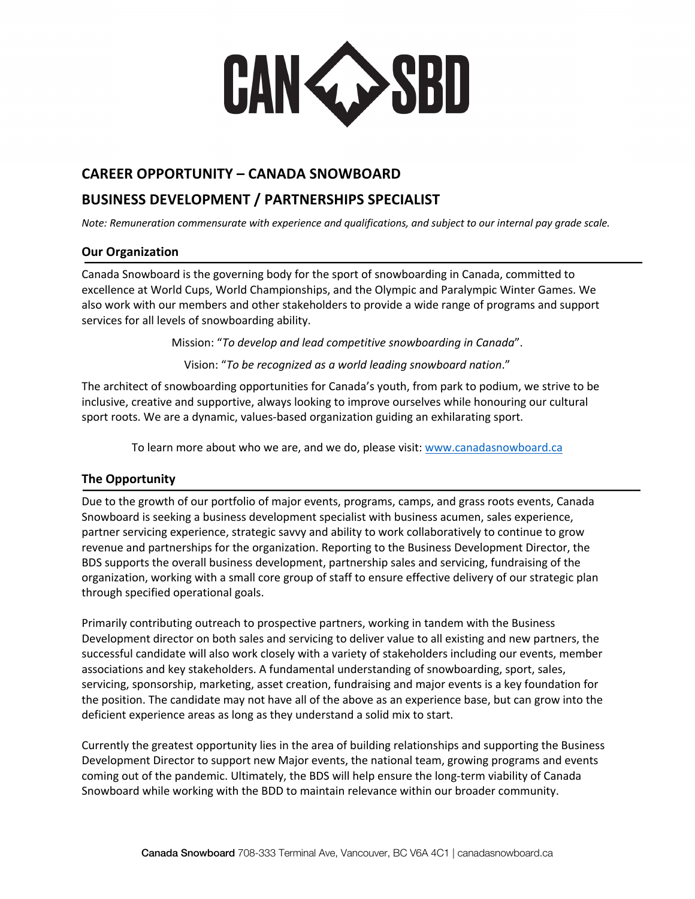**CAN WASBD** 

# **CAREER OPPORTUNITY – CANADA SNOWBOARD**

## **BUSINESS DEVELOPMENT / PARTNERSHIPS SPECIALIST**

*Note: Remuneration commensurate with experience and qualifications, and subject to our internal pay grade scale.*

#### **Our Organization**

Canada Snowboard is the governing body for the sport of snowboarding in Canada, committed to excellence at World Cups, World Championships, and the Olympic and Paralympic Winter Games. We also work with our members and other stakeholders to provide a wide range of programs and support services for all levels of snowboarding ability.

Mission: "*To develop and lead competitive snowboarding in Canada*".

Vision: "*To be recognized as a world leading snowboard nation*."

The architect of snowboarding opportunities for Canada's youth, from park to podium, we strive to be inclusive, creative and supportive, always looking to improve ourselves while honouring our cultural sport roots. We are a dynamic, values-based organization guiding an exhilarating sport.

To learn more about who we are, and we do, please visit: www.canadasnowboard.ca

#### **The Opportunity**

Due to the growth of our portfolio of major events, programs, camps, and grass roots events, Canada Snowboard is seeking a business development specialist with business acumen, sales experience, partner servicing experience, strategic savvy and ability to work collaboratively to continue to grow revenue and partnerships for the organization. Reporting to the Business Development Director, the BDS supports the overall business development, partnership sales and servicing, fundraising of the organization, working with a small core group of staff to ensure effective delivery of our strategic plan through specified operational goals.

Primarily contributing outreach to prospective partners, working in tandem with the Business Development director on both sales and servicing to deliver value to all existing and new partners, the successful candidate will also work closely with a variety of stakeholders including our events, member associations and key stakeholders. A fundamental understanding of snowboarding, sport, sales, servicing, sponsorship, marketing, asset creation, fundraising and major events is a key foundation for the position. The candidate may not have all of the above as an experience base, but can grow into the deficient experience areas as long as they understand a solid mix to start.

Currently the greatest opportunity lies in the area of building relationships and supporting the Business Development Director to support new Major events, the national team, growing programs and events coming out of the pandemic. Ultimately, the BDS will help ensure the long-term viability of Canada Snowboard while working with the BDD to maintain relevance within our broader community.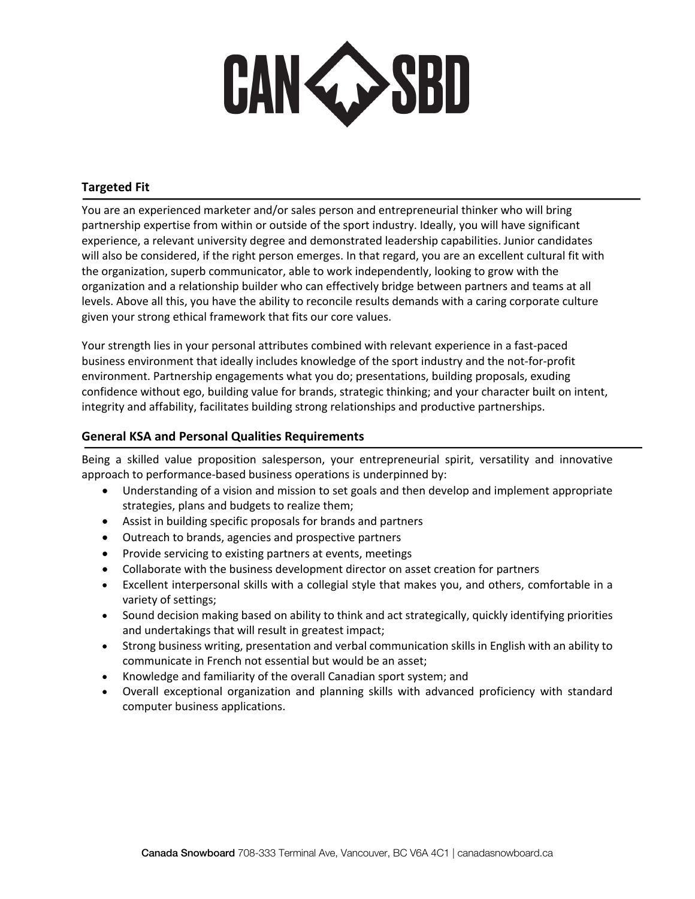

### **Targeted Fit**

You are an experienced marketer and/or sales person and entrepreneurial thinker who will bring partnership expertise from within or outside of the sport industry. Ideally, you will have significant experience, a relevant university degree and demonstrated leadership capabilities. Junior candidates will also be considered, if the right person emerges. In that regard, you are an excellent cultural fit with the organization, superb communicator, able to work independently, looking to grow with the organization and a relationship builder who can effectively bridge between partners and teams at all levels. Above all this, you have the ability to reconcile results demands with a caring corporate culture given your strong ethical framework that fits our core values.

Your strength lies in your personal attributes combined with relevant experience in a fast-paced business environment that ideally includes knowledge of the sport industry and the not-for-profit environment. Partnership engagements what you do; presentations, building proposals, exuding confidence without ego, building value for brands, strategic thinking; and your character built on intent, integrity and affability, facilitates building strong relationships and productive partnerships.

#### **General KSA and Personal Qualities Requirements**

Being a skilled value proposition salesperson, your entrepreneurial spirit, versatility and innovative approach to performance-based business operations is underpinned by:

- Understanding of a vision and mission to set goals and then develop and implement appropriate strategies, plans and budgets to realize them;
- Assist in building specific proposals for brands and partners
- Outreach to brands, agencies and prospective partners
- Provide servicing to existing partners at events, meetings
- Collaborate with the business development director on asset creation for partners
- Excellent interpersonal skills with a collegial style that makes you, and others, comfortable in a variety of settings;
- Sound decision making based on ability to think and act strategically, quickly identifying priorities and undertakings that will result in greatest impact;
- Strong business writing, presentation and verbal communication skills in English with an ability to communicate in French not essential but would be an asset;
- Knowledge and familiarity of the overall Canadian sport system; and
- Overall exceptional organization and planning skills with advanced proficiency with standard computer business applications.